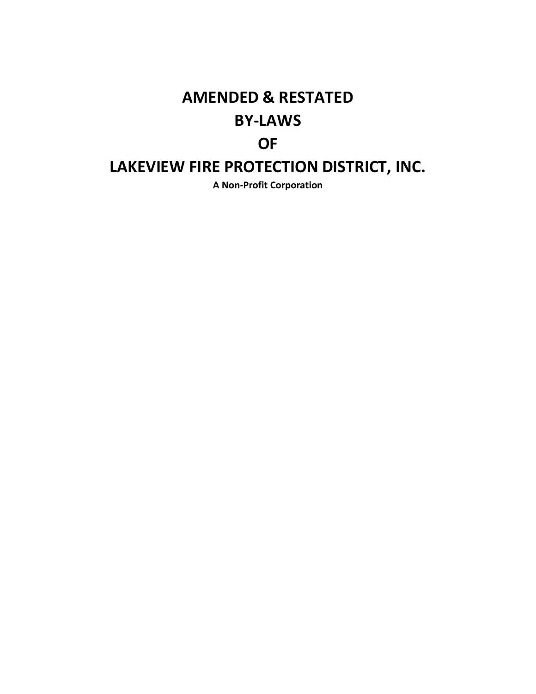# **AMENDED & RESTATED BY-LAWS OF**

## **LAKEVIEW FIRE PROTECTION DISTRICT, INC.**

**A Non-Profit Corporation**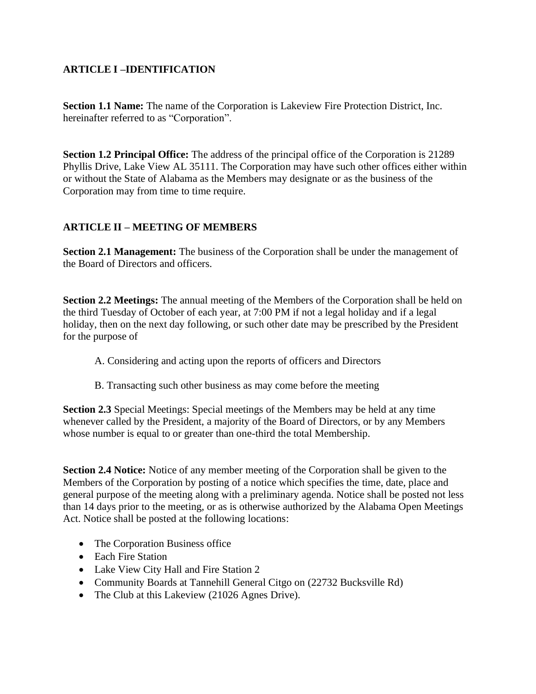## **ARTICLE I –IDENTIFICATION**

**Section 1.1 Name:** The name of the Corporation is Lakeview Fire Protection District, Inc. hereinafter referred to as "Corporation".

**Section 1.2 Principal Office:** The address of the principal office of the Corporation is 21289 Phyllis Drive, Lake View AL 35111. The Corporation may have such other offices either within or without the State of Alabama as the Members may designate or as the business of the Corporation may from time to time require.

## **ARTICLE II – MEETING OF MEMBERS**

**Section 2.1 Management:** The business of the Corporation shall be under the management of the Board of Directors and officers.

**Section 2.2 Meetings:** The annual meeting of the Members of the Corporation shall be held on the third Tuesday of October of each year, at 7:00 PM if not a legal holiday and if a legal holiday, then on the next day following, or such other date may be prescribed by the President for the purpose of

- A. Considering and acting upon the reports of officers and Directors
- B. Transacting such other business as may come before the meeting

**Section 2.3** Special Meetings: Special meetings of the Members may be held at any time whenever called by the President, a majority of the Board of Directors, or by any Members whose number is equal to or greater than one-third the total Membership.

**Section 2.4 Notice:** Notice of any member meeting of the Corporation shall be given to the Members of the Corporation by posting of a notice which specifies the time, date, place and general purpose of the meeting along with a preliminary agenda. Notice shall be posted not less than 14 days prior to the meeting, or as is otherwise authorized by the Alabama Open Meetings Act. Notice shall be posted at the following locations:

- The Corporation Business office
- Each Fire Station
- Lake View City Hall and Fire Station 2
- Community Boards at Tannehill General Citgo on (22732 Bucksville Rd)
- The Club at this Lakeview (21026 Agnes Drive).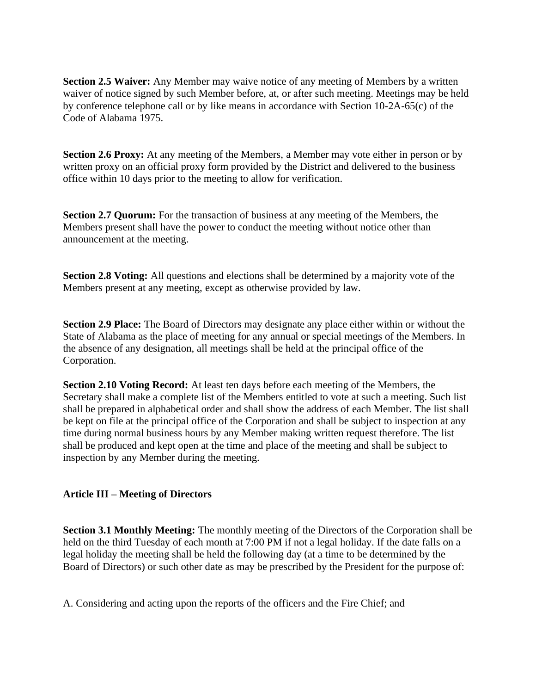**Section 2.5 Waiver:** Any Member may waive notice of any meeting of Members by a written waiver of notice signed by such Member before, at, or after such meeting. Meetings may be held by conference telephone call or by like means in accordance with Section 10-2A-65(c) of the Code of Alabama 1975.

**Section 2.6 Proxy:** At any meeting of the Members, a Member may vote either in person or by written proxy on an official proxy form provided by the District and delivered to the business office within 10 days prior to the meeting to allow for verification.

**Section 2.7 Quorum:** For the transaction of business at any meeting of the Members, the Members present shall have the power to conduct the meeting without notice other than announcement at the meeting.

**Section 2.8 Voting:** All questions and elections shall be determined by a majority vote of the Members present at any meeting, except as otherwise provided by law.

**Section 2.9 Place:** The Board of Directors may designate any place either within or without the State of Alabama as the place of meeting for any annual or special meetings of the Members. In the absence of any designation, all meetings shall be held at the principal office of the Corporation.

**Section 2.10 Voting Record:** At least ten days before each meeting of the Members, the Secretary shall make a complete list of the Members entitled to vote at such a meeting. Such list shall be prepared in alphabetical order and shall show the address of each Member. The list shall be kept on file at the principal office of the Corporation and shall be subject to inspection at any time during normal business hours by any Member making written request therefore. The list shall be produced and kept open at the time and place of the meeting and shall be subject to inspection by any Member during the meeting.

## **Article III – Meeting of Directors**

**Section 3.1 Monthly Meeting:** The monthly meeting of the Directors of the Corporation shall be held on the third Tuesday of each month at 7:00 PM if not a legal holiday. If the date falls on a legal holiday the meeting shall be held the following day (at a time to be determined by the Board of Directors) or such other date as may be prescribed by the President for the purpose of:

A. Considering and acting upon the reports of the officers and the Fire Chief; and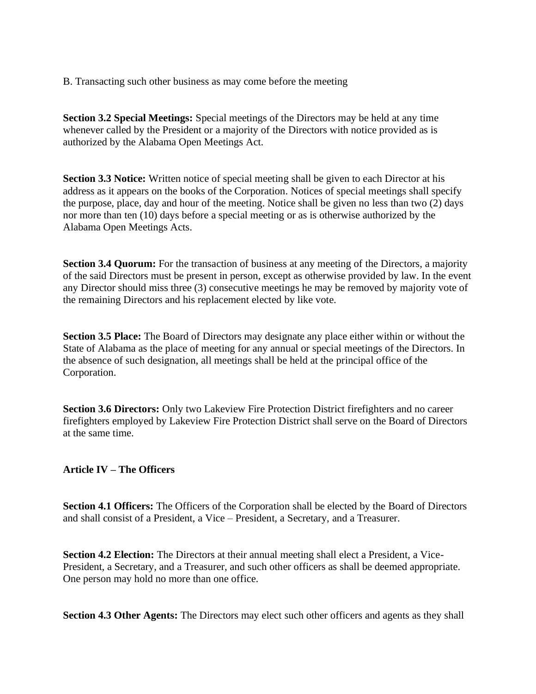B. Transacting such other business as may come before the meeting

**Section 3.2 Special Meetings:** Special meetings of the Directors may be held at any time whenever called by the President or a majority of the Directors with notice provided as is authorized by the Alabama Open Meetings Act.

**Section 3.3 Notice:** Written notice of special meeting shall be given to each Director at his address as it appears on the books of the Corporation. Notices of special meetings shall specify the purpose, place, day and hour of the meeting. Notice shall be given no less than two (2) days nor more than ten (10) days before a special meeting or as is otherwise authorized by the Alabama Open Meetings Acts.

**Section 3.4 Quorum:** For the transaction of business at any meeting of the Directors, a majority of the said Directors must be present in person, except as otherwise provided by law. In the event any Director should miss three (3) consecutive meetings he may be removed by majority vote of the remaining Directors and his replacement elected by like vote.

**Section 3.5 Place:** The Board of Directors may designate any place either within or without the State of Alabama as the place of meeting for any annual or special meetings of the Directors. In the absence of such designation, all meetings shall be held at the principal office of the Corporation.

**Section 3.6 Directors:** Only two Lakeview Fire Protection District firefighters and no career firefighters employed by Lakeview Fire Protection District shall serve on the Board of Directors at the same time.

#### **Article IV – The Officers**

**Section 4.1 Officers:** The Officers of the Corporation shall be elected by the Board of Directors and shall consist of a President, a Vice – President, a Secretary, and a Treasurer.

**Section 4.2 Election:** The Directors at their annual meeting shall elect a President, a Vice-President, a Secretary, and a Treasurer, and such other officers as shall be deemed appropriate. One person may hold no more than one office.

**Section 4.3 Other Agents:** The Directors may elect such other officers and agents as they shall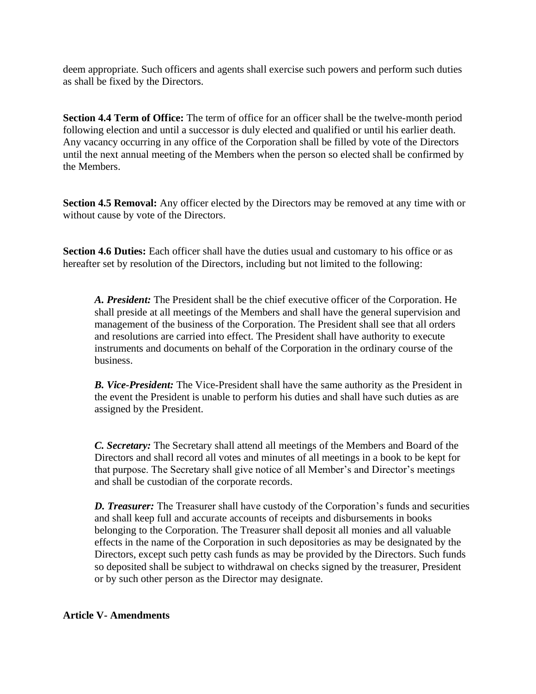deem appropriate. Such officers and agents shall exercise such powers and perform such duties as shall be fixed by the Directors.

**Section 4.4 Term of Office:** The term of office for an officer shall be the twelve-month period following election and until a successor is duly elected and qualified or until his earlier death. Any vacancy occurring in any office of the Corporation shall be filled by vote of the Directors until the next annual meeting of the Members when the person so elected shall be confirmed by the Members.

**Section 4.5 Removal:** Any officer elected by the Directors may be removed at any time with or without cause by vote of the Directors.

**Section 4.6 Duties:** Each officer shall have the duties usual and customary to his office or as hereafter set by resolution of the Directors, including but not limited to the following:

*A. President:* The President shall be the chief executive officer of the Corporation. He shall preside at all meetings of the Members and shall have the general supervision and management of the business of the Corporation. The President shall see that all orders and resolutions are carried into effect. The President shall have authority to execute instruments and documents on behalf of the Corporation in the ordinary course of the business.

*B. Vice-President:* The Vice-President shall have the same authority as the President in the event the President is unable to perform his duties and shall have such duties as are assigned by the President.

*C. Secretary:* The Secretary shall attend all meetings of the Members and Board of the Directors and shall record all votes and minutes of all meetings in a book to be kept for that purpose. The Secretary shall give notice of all Member's and Director's meetings and shall be custodian of the corporate records.

*D. Treasurer:* The Treasurer shall have custody of the Corporation's funds and securities and shall keep full and accurate accounts of receipts and disbursements in books belonging to the Corporation. The Treasurer shall deposit all monies and all valuable effects in the name of the Corporation in such depositories as may be designated by the Directors, except such petty cash funds as may be provided by the Directors. Such funds so deposited shall be subject to withdrawal on checks signed by the treasurer, President or by such other person as the Director may designate.

#### **Article V- Amendments**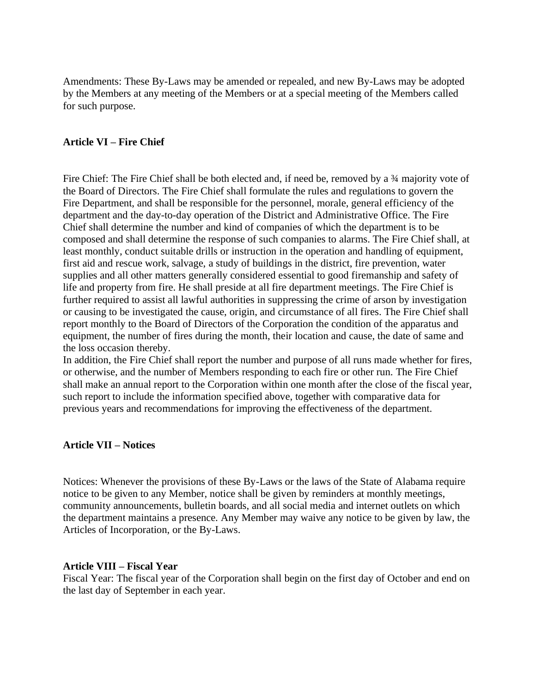Amendments: These By-Laws may be amended or repealed, and new By-Laws may be adopted by the Members at any meeting of the Members or at a special meeting of the Members called for such purpose.

#### **Article VI – Fire Chief**

Fire Chief: The Fire Chief shall be both elected and, if need be, removed by a ¾ majority vote of the Board of Directors. The Fire Chief shall formulate the rules and regulations to govern the Fire Department, and shall be responsible for the personnel, morale, general efficiency of the department and the day-to-day operation of the District and Administrative Office. The Fire Chief shall determine the number and kind of companies of which the department is to be composed and shall determine the response of such companies to alarms. The Fire Chief shall, at least monthly, conduct suitable drills or instruction in the operation and handling of equipment, first aid and rescue work, salvage, a study of buildings in the district, fire prevention, water supplies and all other matters generally considered essential to good firemanship and safety of life and property from fire. He shall preside at all fire department meetings. The Fire Chief is further required to assist all lawful authorities in suppressing the crime of arson by investigation or causing to be investigated the cause, origin, and circumstance of all fires. The Fire Chief shall report monthly to the Board of Directors of the Corporation the condition of the apparatus and equipment, the number of fires during the month, their location and cause, the date of same and the loss occasion thereby.

In addition, the Fire Chief shall report the number and purpose of all runs made whether for fires, or otherwise, and the number of Members responding to each fire or other run. The Fire Chief shall make an annual report to the Corporation within one month after the close of the fiscal year, such report to include the information specified above, together with comparative data for previous years and recommendations for improving the effectiveness of the department.

#### **Article VII – Notices**

Notices: Whenever the provisions of these By-Laws or the laws of the State of Alabama require notice to be given to any Member, notice shall be given by reminders at monthly meetings, community announcements, bulletin boards, and all social media and internet outlets on which the department maintains a presence. Any Member may waive any notice to be given by law, the Articles of Incorporation, or the By-Laws.

#### **Article VIII – Fiscal Year**

Fiscal Year: The fiscal year of the Corporation shall begin on the first day of October and end on the last day of September in each year.